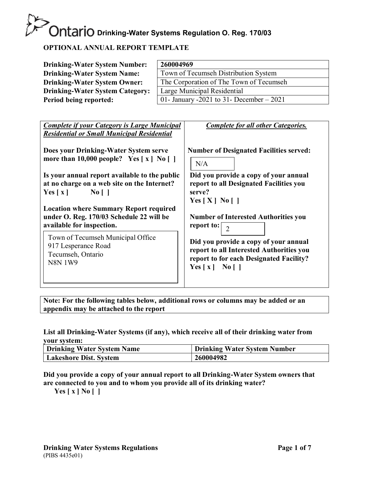#### **OPTIONAL ANNUAL REPORT TEMPLATE**

| <b>Drinking-Water System Number:</b>                                                                                                                                                                                                                                                                                                                                                                                                                                                                                                                                                                | 260004969                                                                                                                                                                                                                                                                                                                                                                                                                                                                                                 |  |  |  |  |
|-----------------------------------------------------------------------------------------------------------------------------------------------------------------------------------------------------------------------------------------------------------------------------------------------------------------------------------------------------------------------------------------------------------------------------------------------------------------------------------------------------------------------------------------------------------------------------------------------------|-----------------------------------------------------------------------------------------------------------------------------------------------------------------------------------------------------------------------------------------------------------------------------------------------------------------------------------------------------------------------------------------------------------------------------------------------------------------------------------------------------------|--|--|--|--|
| <b>Drinking-Water System Name:</b>                                                                                                                                                                                                                                                                                                                                                                                                                                                                                                                                                                  | Town of Tecumseh Distribution System                                                                                                                                                                                                                                                                                                                                                                                                                                                                      |  |  |  |  |
| <b>Drinking-Water System Owner:</b>                                                                                                                                                                                                                                                                                                                                                                                                                                                                                                                                                                 | The Corporation of The Town of Tecumseh                                                                                                                                                                                                                                                                                                                                                                                                                                                                   |  |  |  |  |
| <b>Drinking-Water System Category:</b>                                                                                                                                                                                                                                                                                                                                                                                                                                                                                                                                                              | Large Municipal Residential                                                                                                                                                                                                                                                                                                                                                                                                                                                                               |  |  |  |  |
| Period being reported:                                                                                                                                                                                                                                                                                                                                                                                                                                                                                                                                                                              |                                                                                                                                                                                                                                                                                                                                                                                                                                                                                                           |  |  |  |  |
| <b>Complete if your Category is Large Municipal</b><br><b>Residential or Small Municipal Residential</b><br>Does your Drinking-Water System serve<br>more than 10,000 people? Yes $\lceil x \rceil$ No $\lceil \rceil$<br>Is your annual report available to the public<br>at no charge on a web site on the Internet?<br>Yes $\lceil x \rceil$<br>$\overline{N_0}$    <br><b>Location where Summary Report required</b><br>under O. Reg. 170/03 Schedule 22 will be<br>available for inspection.<br>Town of Tecumseh Municipal Office<br>917 Lesperance Road<br>Tecumseh, Ontario<br><b>N8N1W9</b> | 01- January -2021 to 31- December $-2021$<br><b>Complete for all other Categories.</b><br><b>Number of Designated Facilities served:</b><br>N/A<br>Did you provide a copy of your annual<br>report to all Designated Facilities you<br>serve?<br>Yes $[X]$ No $[$ 1<br><b>Number of Interested Authorities you</b><br>report to: $\vert 2 \vert$<br>Did you provide a copy of your annual<br>report to all Interested Authorities you<br>report to for each Designated Facility?<br>Yes $x \mid N_0 \mid$ |  |  |  |  |
|                                                                                                                                                                                                                                                                                                                                                                                                                                                                                                                                                                                                     |                                                                                                                                                                                                                                                                                                                                                                                                                                                                                                           |  |  |  |  |

**Note: For the following tables below, additional rows or columns may be added or an appendix may be attached to the report**

**List all Drinking-Water Systems (if any), which receive all of their drinking water from your system:**

| <b>Drinking Water System Name</b> | <b>Drinking Water System Number</b> |
|-----------------------------------|-------------------------------------|
| <b>Lakeshore Dist. System</b>     | 260004982                           |

**Did you provide a copy of your annual report to all Drinking-Water System owners that are connected to you and to whom you provide all of its drinking water?**

**Yes [ x ] No [ ]**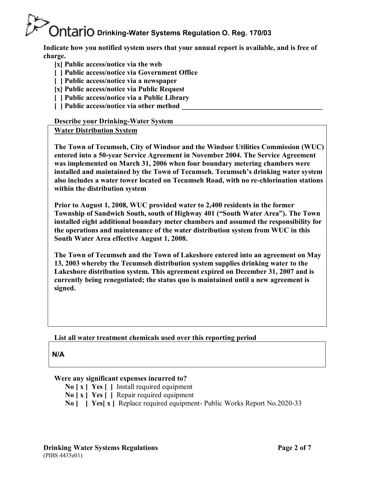**Indicate how you notified system users that your annual report is available, and is free of charge.**

- **[x] Public access/notice via the web**
- **[ ] Public access/notice via Government Office**
- **[ ] Public access/notice via a newspaper**
- **[x] Public access/notice via Public Request**
- **[ ] Public access/notice via a Public Library**
- **[ ] Public access/notice via other method**

#### **Describe your Drinking-Water System**

#### **Water Distribution System**

**The Town of Tecumseh, City of Windsor and the Windsor Utilities Commission (WUC) entered into a 50-year Service Agreement in November 2004. The Service Agreement was implemented on March 31, 2006 when four boundary metering chambers were installed and maintained by the Town of Tecumseh. Tecumseh's drinking water system also includes a water tower located on Tecumseh Road, with no re-chlorination stations within the distribution system**

**Prior to August 1, 2008, WUC provided water to 2,400 residents in the former Township of Sandwich South, south of Highway 401 ("South Water Area"). The Town installed eight additional boundary meter chambers and assumed the responsibility for the operations and maintenance of the water distribution system from WUC in this South Water Area effective August 1, 2008.**

**The Town of Tecumseh and the Town of Lakeshore entered into an agreement on May 13, 2003 whereby the Tecumseh distribution system supplies drinking water to the Lakeshore distribution system. This agreement expired on December 31, 2007 and is currently being renegotiated; the status quo is maintained until a new agreement is signed.**

#### **List all water treatment chemicals used over this reporting period**

**N/A**

#### **Were any significant expenses incurred to?**

- **No [ x ] Yes [ ]** Install required equipment
- **No [ x ] Yes [ ]** Repair required equipment
- **No [ ] Yes[ x ]** Replace required equipment- Public Works Report No.2020-33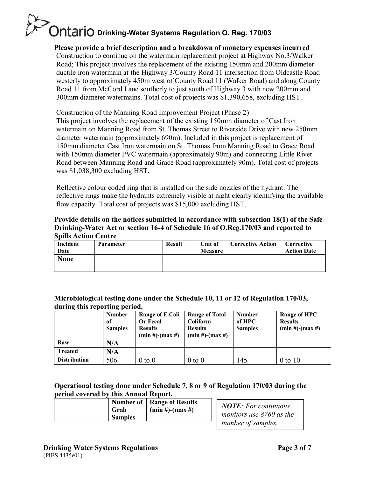**Please provide a brief description and a breakdown of monetary expenses incurred** Construction to continue on the watermain replacement project at Highway No.3/Walker Road; This project involves the replacement of the existing 150mm and 200mm diameter ductile iron watermain at the Highway 3/County Road 11 intersection from Oldcastle Road westerly to approximately 450m west of County Road 11 (Walker Road) and along County Road 11 from McCord Lane southerly to just south of Highway 3 with new 200mm and 300mm diameter watermains. Total cost of projects was \$1,390,658, excluding HST.

Construction of the Manning Road Improvement Project (Phase 2)

This project involves the replacement of the existing 150mm diameter of Cast Iron watermain on Manning Road from St. Thomas Street to Riverside Drive with new 250mm diameter watermain (approximately 690m). Included in this project is replacement of 150mm diameter Cast Iron watermain on St. Thomas from Manning Road to Grace Road with 150mm diameter PVC watermain (approximately 90m) and connecting Little River Road between Manning Road and Grace Road (approximately 90m). Total cost of projects was \$1,038,300 excluding HST.

Reflective colour coded ring that is installed on the side nozzles of the hydrant. The reflective rings make the hydrants extremely visible at night clearly identifying the available flow capacity. Total cost of projects was \$15,000 excluding HST.

#### **Provide details on the notices submitted in accordance with subsection 18(1) of the Safe Drinking-Water Act or section 16-4 of Schedule 16 of O.Reg.170/03 and reported to Spills Action Centre**

| ophio recion centre |                  |               |                |                          |                    |
|---------------------|------------------|---------------|----------------|--------------------------|--------------------|
| Incident            | <b>Parameter</b> | <b>Result</b> | Unit of        | <b>Corrective Action</b> | Corrective         |
| Date                |                  |               | <b>Measure</b> |                          | <b>Action Date</b> |
| <b>None</b>         |                  |               |                |                          |                    |
|                     |                  |               |                |                          |                    |

#### **Microbiological testing done under the Schedule 10, 11 or 12 of Regulation 170/03, during this reporting period.**

|                     | <b>Number</b><br>of<br><b>Samples</b> | Range of E.Coli<br>Or Fecal<br><b>Results</b><br>$(min #)$ - $(max #)$ | <b>Range of Total</b><br><b>Coliform</b><br><b>Results</b><br>$(min #)$ - $(max #)$ | <b>Number</b><br>of HPC<br><b>Samples</b> | <b>Range of HPC</b><br><b>Results</b><br>$(min #)$ - $(max #)$ |
|---------------------|---------------------------------------|------------------------------------------------------------------------|-------------------------------------------------------------------------------------|-------------------------------------------|----------------------------------------------------------------|
| Raw                 | N/A                                   |                                                                        |                                                                                     |                                           |                                                                |
| <b>Treated</b>      | N/A                                   |                                                                        |                                                                                     |                                           |                                                                |
| <b>Distribution</b> | 506                                   | $0$ to $0$                                                             | $0$ to $0$                                                                          | 145                                       | $0$ to $10$                                                    |

#### **Operational testing done under Schedule 7, 8 or 9 of Regulation 170/03 during the period covered by this Annual Report.**

| Grab<br><b>Samples</b> | Number of   Range of Results<br>$(min #)$ - $(max #)$ | <b>NOTE:</b> For continuous<br>monitors use 8760 as the |
|------------------------|-------------------------------------------------------|---------------------------------------------------------|
|                        |                                                       | number of samples.                                      |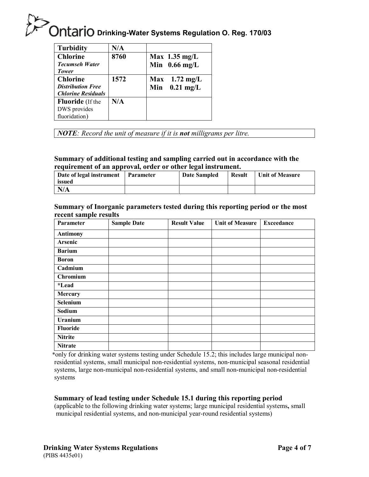| <b>Turbidity</b>          | N/A  |                         |
|---------------------------|------|-------------------------|
| <b>Chlorine</b>           | 8760 | Max $1.35 \text{ mg/L}$ |
| <b>Tecumseh Water</b>     |      | Min $0.66$ mg/L         |
| <b>Tower</b>              |      |                         |
| <b>Chlorine</b>           | 1572 | $Max$ 1.72 mg/L         |
| <b>Distribution Free</b>  |      | Min $0.21$ mg/L         |
| <b>Chlorine Residuals</b> |      |                         |
| <b>Fluoride</b> (If the   | N/A  |                         |
| DWS provides              |      |                         |
| fluoridation)             |      |                         |
|                           |      |                         |

*NOTE: Record the unit of measure if it is not milligrams per litre.*

#### **Summary of additional testing and sampling carried out in accordance with the requirement of an approval, order or other legal instrument.**

| Date of legal instrument<br>issued | Parameter | Date Sampled | <b>Result</b> | Unit of Measure |
|------------------------------------|-----------|--------------|---------------|-----------------|
| N/A                                |           |              |               |                 |

#### **Summary of Inorganic parameters tested during this reporting period or the most recent sample results**

| Parameter       | <b>Sample Date</b> | <b>Result Value</b> | <b>Unit of Measure</b> | <b>Exceedance</b> |
|-----------------|--------------------|---------------------|------------------------|-------------------|
| <b>Antimony</b> |                    |                     |                        |                   |
| Arsenic         |                    |                     |                        |                   |
| <b>Barium</b>   |                    |                     |                        |                   |
| <b>Boron</b>    |                    |                     |                        |                   |
| Cadmium         |                    |                     |                        |                   |
| <b>Chromium</b> |                    |                     |                        |                   |
| <i>*Lead</i>    |                    |                     |                        |                   |
| Mercury         |                    |                     |                        |                   |
| Selenium        |                    |                     |                        |                   |
| Sodium          |                    |                     |                        |                   |
| <b>Uranium</b>  |                    |                     |                        |                   |
| Fluoride        |                    |                     |                        |                   |
| <b>Nitrite</b>  |                    |                     |                        |                   |
| <b>Nitrate</b>  |                    |                     |                        |                   |

\*only for drinking water systems testing under Schedule 15.2; this includes large municipal nonresidential systems, small municipal non-residential systems, non-municipal seasonal residential systems, large non-municipal non-residential systems, and small non-municipal non-residential systems

#### **Summary of lead testing under Schedule 15.1 during this reporting period**

(applicable to the following drinking water systems; large municipal residential systems**,** small municipal residential systems, and non-municipal year-round residential systems)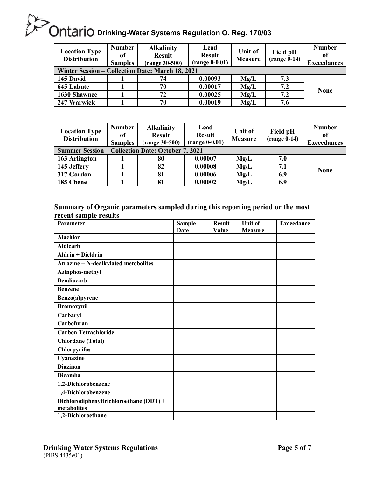| <b>Location Type</b><br><b>Distribution</b>      | <b>Number</b><br>0f<br><b>Samples</b> | <b>Alkalinity</b><br><b>Result</b><br>$(range 30-500)$ | Lead<br><b>Result</b><br>$(range 0-0.01)$ | Unit of<br><b>Measure</b> | Field pH<br>$(range 0-14)$ | <b>Number</b><br>of<br><b>Exceedances</b> |
|--------------------------------------------------|---------------------------------------|--------------------------------------------------------|-------------------------------------------|---------------------------|----------------------------|-------------------------------------------|
| Winter Session – Collection Date: March 18, 2021 |                                       |                                                        |                                           |                           |                            |                                           |
| 145 David                                        |                                       | 74                                                     | 0.00093                                   | Mg/L                      | 7.3                        |                                           |
| 645 Labute                                       |                                       | 70                                                     | 0.00017                                   | Mg/L                      | 7.2                        |                                           |
| 1630 Shawnee                                     |                                       | 72                                                     | 0.00025                                   | Mg/L                      | 7.2                        | <b>None</b>                               |
| 247 Warwick                                      |                                       | 70                                                     | 0.00019                                   | Mg/L                      | 7.6                        |                                           |

| <b>Location Type</b><br><b>Distribution</b>              | <b>Number</b><br>of<br><b>Samples</b> | <b>Alkalinity</b><br><b>Result</b><br>$(range 30-500)$ | Lead<br><b>Result</b><br>$(range 0-0.01)$ | Unit of<br><b>Measure</b> | Field pH<br>$(range 0-14)$ | <b>Number</b><br>оf<br><b>Exceedances</b> |
|----------------------------------------------------------|---------------------------------------|--------------------------------------------------------|-------------------------------------------|---------------------------|----------------------------|-------------------------------------------|
| <b>Summer Session – Collection Date: October 7, 2021</b> |                                       |                                                        |                                           |                           |                            |                                           |
| 163 Arlington                                            |                                       | 80                                                     | 0.00007                                   | Mg/L                      | 7.0                        |                                           |
| 145 Jeffery                                              |                                       | 82                                                     | 0.00008                                   | Mg/L                      | 7.1                        |                                           |
| 317 Gordon                                               |                                       | 81                                                     | 0.00006                                   | Mg/L                      | 6.9                        | <b>None</b>                               |
| 185 Chene                                                |                                       | 81                                                     | 0.00002                                   | Mg/L                      | 6.9                        |                                           |

#### **Summary of Organic parameters sampled during this reporting period or the most recent sample results**

| Parameter                                              | <b>Sample</b> | <b>Result</b> | Unit of        | <b>Exceedance</b> |
|--------------------------------------------------------|---------------|---------------|----------------|-------------------|
|                                                        | Date          | Value         | <b>Measure</b> |                   |
| <b>Alachlor</b>                                        |               |               |                |                   |
| <b>Aldicarb</b>                                        |               |               |                |                   |
| <b>Aldrin + Dieldrin</b>                               |               |               |                |                   |
| <b>Atrazine + N-dealkylated metobolites</b>            |               |               |                |                   |
| Azinphos-methyl                                        |               |               |                |                   |
| <b>Bendiocarb</b>                                      |               |               |                |                   |
| <b>Benzene</b>                                         |               |               |                |                   |
| Benzo(a)pyrene                                         |               |               |                |                   |
| <b>Bromoxynil</b>                                      |               |               |                |                   |
| Carbaryl                                               |               |               |                |                   |
| Carbofuran                                             |               |               |                |                   |
| <b>Carbon Tetrachloride</b>                            |               |               |                |                   |
| <b>Chlordane</b> (Total)                               |               |               |                |                   |
| <b>Chlorpyrifos</b>                                    |               |               |                |                   |
| Cyanazine                                              |               |               |                |                   |
| <b>Diazinon</b>                                        |               |               |                |                   |
| Dicamba                                                |               |               |                |                   |
| 1,2-Dichlorobenzene                                    |               |               |                |                   |
| 1,4-Dichlorobenzene                                    |               |               |                |                   |
| Dichlorodiphenyltrichloroethane (DDT) +<br>metabolites |               |               |                |                   |
| 1,2-Dichloroethane                                     |               |               |                |                   |
|                                                        |               |               |                |                   |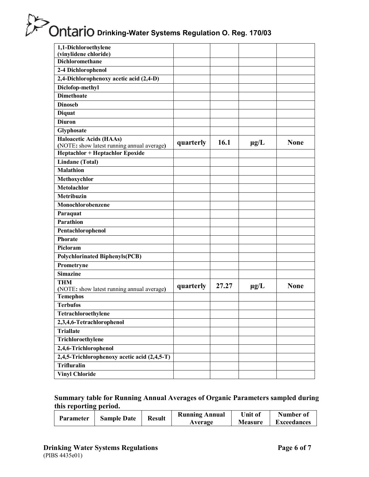| 1,1-Dichloroethylene                                                          |           |       |           |             |
|-------------------------------------------------------------------------------|-----------|-------|-----------|-------------|
| (vinylidene chloride)<br><b>Dichloromethane</b>                               |           |       |           |             |
|                                                                               |           |       |           |             |
| 2-4 Dichlorophenol                                                            |           |       |           |             |
| 2,4-Dichlorophenoxy acetic acid (2,4-D)                                       |           |       |           |             |
| Diclofop-methyl                                                               |           |       |           |             |
| <b>Dimethoate</b>                                                             |           |       |           |             |
| <b>Dinoseb</b>                                                                |           |       |           |             |
| <b>Diquat</b>                                                                 |           |       |           |             |
| <b>Diuron</b>                                                                 |           |       |           |             |
| Glyphosate                                                                    |           |       |           |             |
| <b>Haloacetic Acids (HAAs)</b>                                                | quarterly | 16.1  | $\mu g/L$ | <b>None</b> |
| (NOTE: show latest running annual average)<br>Heptachlor + Heptachlor Epoxide |           |       |           |             |
|                                                                               |           |       |           |             |
| Lindane (Total)<br><b>Malathion</b>                                           |           |       |           |             |
|                                                                               |           |       |           |             |
| Methoxychlor                                                                  |           |       |           |             |
| Metolachlor                                                                   |           |       |           |             |
| Metribuzin                                                                    |           |       |           |             |
| Monochlorobenzene                                                             |           |       |           |             |
| Paraquat                                                                      |           |       |           |             |
| Parathion                                                                     |           |       |           |             |
| Pentachlorophenol                                                             |           |       |           |             |
| <b>Phorate</b>                                                                |           |       |           |             |
| Picloram                                                                      |           |       |           |             |
| <b>Polychlorinated Biphenyls(PCB)</b>                                         |           |       |           |             |
| Prometryne                                                                    |           |       |           |             |
| <b>Simazine</b>                                                               |           |       |           |             |
| <b>THM</b>                                                                    | quarterly | 27.27 | $\mu$ g/L | <b>None</b> |
| (NOTE: show latest running annual average)                                    |           |       |           |             |
| <b>Temephos</b>                                                               |           |       |           |             |
| <b>Terbufos</b>                                                               |           |       |           |             |
| Tetrachloroethylene                                                           |           |       |           |             |
| 2,3,4,6-Tetrachlorophenol                                                     |           |       |           |             |
| <b>Triallate</b>                                                              |           |       |           |             |
| Trichloroethylene                                                             |           |       |           |             |
| 2,4,6-Trichlorophenol                                                         |           |       |           |             |
| 2,4,5-Trichlorophenoxy acetic acid (2,4,5-T)                                  |           |       |           |             |
| <b>Trifluralin</b>                                                            |           |       |           |             |
| <b>Vinyl Chloride</b>                                                         |           |       |           |             |

#### **Summary table for Running Annual Averages of Organic Parameters sampled during this reporting period.**

| Parameter | <b>Sample Date</b> | Result | <b>Running Annual</b> | Unit of        | Number of          |
|-----------|--------------------|--------|-----------------------|----------------|--------------------|
|           |                    |        | Average               | <b>Measure</b> | <b>Exceedances</b> |